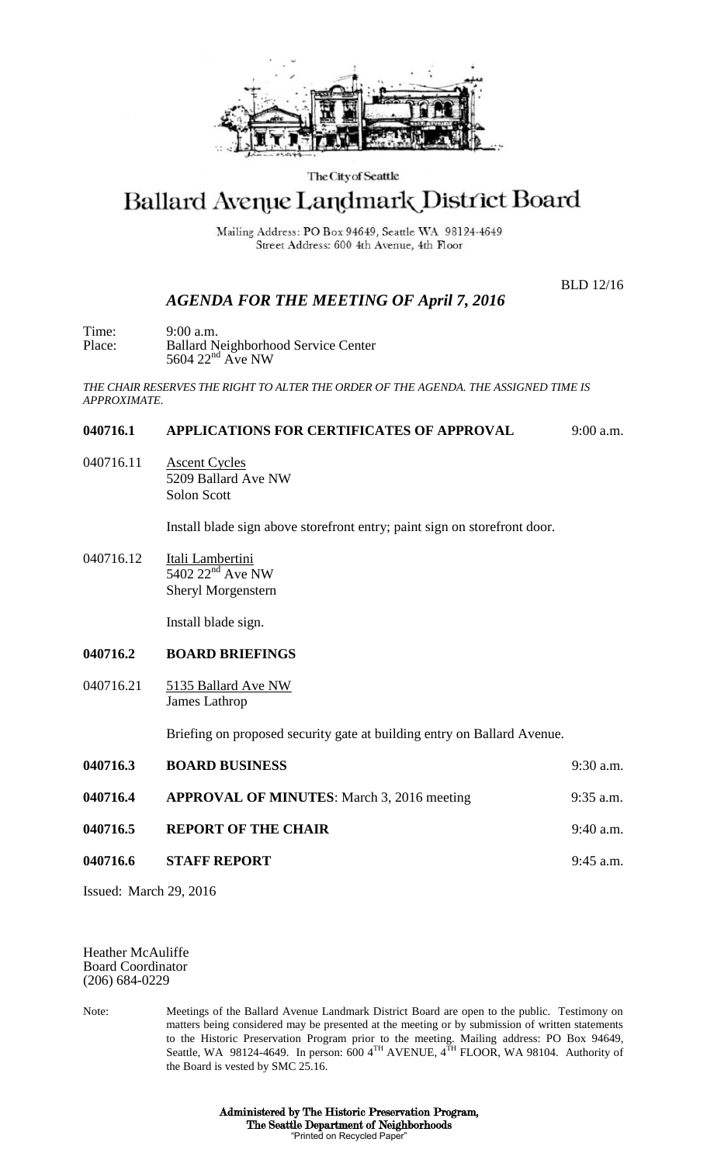

#### The City of Seattle

# Ballard Avenue Landmark District Board

Mailing Address: PO Box 94649, Seattle WA 98124-4649 Street Address: 600 4th Avenue, 4th Floor

BLD 12/16

## *AGENDA FOR THE MEETING OF April 7, 2016*

Time: 9:00 a.m. Place: Ballard Neighborhood Service Center  $5604$   $22<sup>nd</sup>$  Ave NW

*THE CHAIR RESERVES THE RIGHT TO ALTER THE ORDER OF THE AGENDA. THE ASSIGNED TIME IS APPROXIMATE.*

#### **040716.1 APPLICATIONS FOR CERTIFICATES OF APPROVAL** 9:00 a.m.

040716.11 Ascent Cycles 5209 Ballard Ave NW Solon Scott

Install blade sign above storefront entry; paint sign on storefront door.

040716.12 Itali Lambertini  $5402$   $22<sup>nd</sup>$  Ave NW Sheryl Morgenstern

Install blade sign.

#### **040716.2 BOARD BRIEFINGS**

040716.21 5135 Ballard Ave NW James Lathrop

Briefing on proposed security gate at building entry on Ballard Avenue.

| 040716.3 | <b>BOARD BUSINESS</b>                             | $9:30$ a.m. |
|----------|---------------------------------------------------|-------------|
| 040716.4 | <b>APPROVAL OF MINUTES:</b> March 3, 2016 meeting | $9:35$ a.m. |
| 040716.5 | <b>REPORT OF THE CHAIR</b>                        | $9:40$ a.m. |
| 040716.6 | <b>STAFF REPORT</b>                               | $9:45$ a.m. |
|          |                                                   |             |

Issued: March 29, 2016

Heather McAuliffe Board Coordinator (206) 684-0229

Note: Meetings of the Ballard Avenue Landmark District Board are open to the public. Testimony on matters being considered may be presented at the meeting or by submission of written statements to the Historic Preservation Program prior to the meeting. Mailing address: PO Box 94649, Seattle, WA 98124-4649. In person: 600  $4^{TH}$  AVENUE,  $4^{TH}$  FLOOR, WA 98104. Authority of the Board is vested by SMC 25.16.